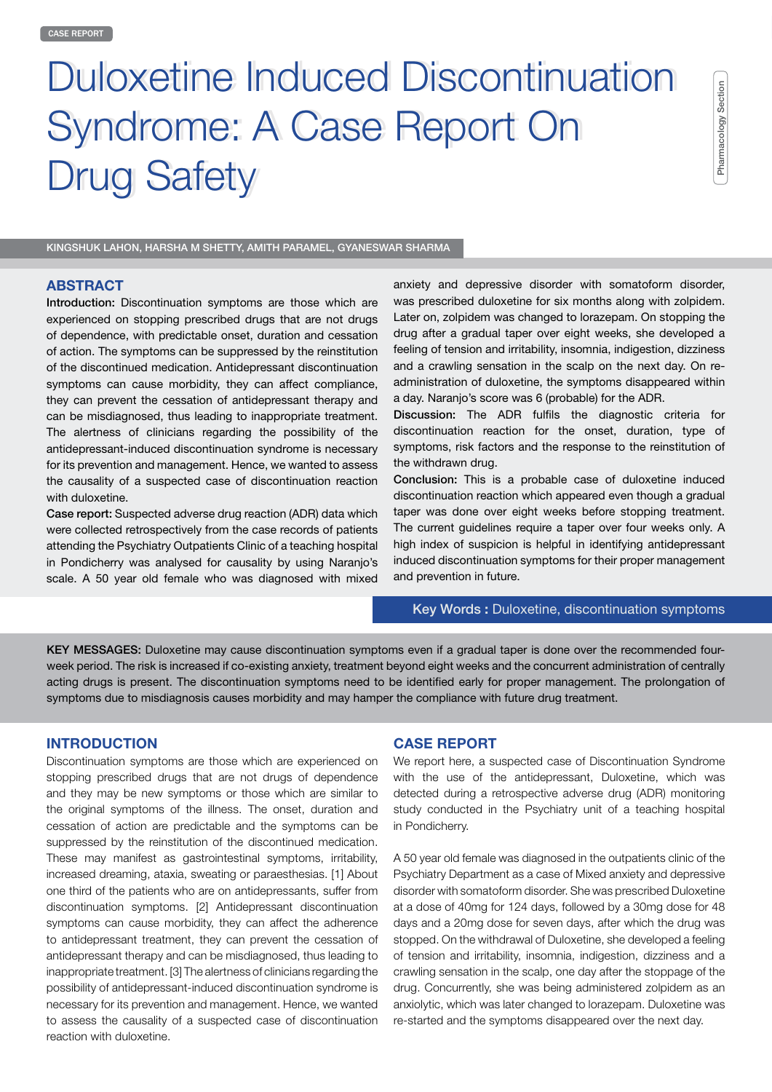# Duloxetine Induced Discontinuation Duloxetine Induced Discontinuation Syndrome: A Case Report On Syndrome: A Case Report On Drug Safety Drug Safety

Kingshuk Lahon, Harsha M Shetty, Amith Paramel, Gyaneswar Sharma

# **Abstract**

Introduction: Discontinuation symptoms are those which are experienced on stopping prescribed drugs that are not drugs of dependence, with predictable onset, duration and cessation of action. The symptoms can be suppressed by the reinstitution of the discontinued medication. Antidepressant discontinuation symptoms can cause morbidity, they can affect compliance, they can prevent the cessation of antidepressant therapy and can be misdiagnosed, thus leading to inappropriate treatment. The alertness of clinicians regarding the possibility of the antidepressant-induced discontinuation syndrome is necessary for its prevention and management. Hence, we wanted to assess the causality of a suspected case of discontinuation reaction with duloxetine.

Case report: Suspected adverse drug reaction (ADR) data which were collected retrospectively from the case records of patients attending the Psychiatry Outpatients Clinic of a teaching hospital in Pondicherry was analysed for causality by using Naranjo's scale. A 50 year old female who was diagnosed with mixed

anxiety and depressive disorder with somatoform disorder, was prescribed duloxetine for six months along with zolpidem. Later on, zolpidem was changed to lorazepam. On stopping the drug after a gradual taper over eight weeks, she developed a feeling of tension and irritability, insomnia, indigestion, dizziness and a crawling sensation in the scalp on the next day. On readministration of duloxetine, the symptoms disappeared within a day. Naranjo's score was 6 (probable) for the ADR.

Discussion: The ADR fulfils the diagnostic criteria for discontinuation reaction for the onset, duration, type of symptoms, risk factors and the response to the reinstitution of the withdrawn drug.

Conclusion: This is a probable case of duloxetine induced discontinuation reaction which appeared even though a gradual taper was done over eight weeks before stopping treatment. The current guidelines require a taper over four weeks only. A high index of suspicion is helpful in identifying antidepressant induced discontinuation symptoms for their proper management and prevention in future.

## Key Words **:** Duloxetine, discontinuation symptoms

KEY MESSAGES: Duloxetine may cause discontinuation symptoms even if a gradual taper is done over the recommended fourweek period. The risk is increased if co-existing anxiety, treatment beyond eight weeks and the concurrent administration of centrally acting drugs is present. The discontinuation symptoms need to be identified early for proper management. The prolongation of symptoms due to misdiagnosis causes morbidity and may hamper the compliance with future drug treatment.

# **INTRODUCTION**

Discontinuation symptoms are those which are experienced on stopping prescribed drugs that are not drugs of dependence and they may be new symptoms or those which are similar to the original symptoms of the illness. The onset, duration and cessation of action are predictable and the symptoms can be suppressed by the reinstitution of the discontinued medication. These may manifest as gastrointestinal symptoms, irritability, increased dreaming, ataxia, sweating or paraesthesias. [1] About one third of the patients who are on antidepressants, suffer from discontinuation symptoms. [2] Antidepressant discontinuation symptoms can cause morbidity, they can affect the adherence to antidepressant treatment, they can prevent the cessation of antidepressant therapy and can be misdiagnosed, thus leading to inappropriate treatment. [3] The alertness of clinicians regarding the possibility of antidepressant-induced discontinuation syndrome is necessary for its prevention and management. Hence, we wanted to assess the causality of a suspected case of discontinuation reaction with duloxetine.

# **CASE REPORT**

We report here, a suspected case of Discontinuation Syndrome with the use of the antidepressant, Duloxetine, which was detected during a retrospective adverse drug (ADR) monitoring study conducted in the Psychiatry unit of a teaching hospital in Pondicherry.

A 50 year old female was diagnosed in the outpatients clinic of the Psychiatry Department as a case of Mixed anxiety and depressive disorder with somatoform disorder. She was prescribed Duloxetine at a dose of 40mg for 124 days, followed by a 30mg dose for 48 days and a 20mg dose for seven days, after which the drug was stopped. On the withdrawal of Duloxetine, she developed a feeling of tension and irritability, insomnia, indigestion, dizziness and a crawling sensation in the scalp, one day after the stoppage of the drug. Concurrently, she was being administered zolpidem as an anxiolytic, which was later changed to lorazepam. Duloxetine was re-started and the symptoms disappeared over the next day.